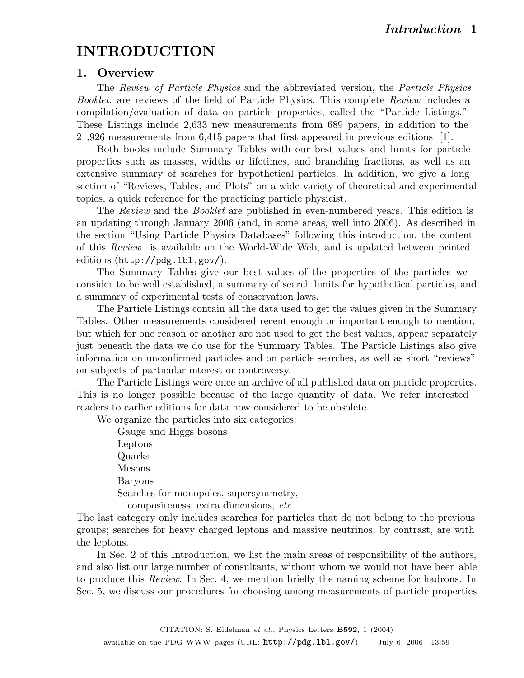# $\overline{\mathbf{A}}$

### **1. Overview**

The *Review of Particle Physics* and the abbreviated version, the *Particle Physics Booklet,* are reviews of the field of Particle Physics. This complete *Review* includes a compilation/evaluation of data on particle properties, called the "Particle Listings." These Listings include 2,633 new measurements from 689 papers, in addition to the 21,926 measurements from 6,415 papers that first appeared in previous editions [1].

Both books include Summary Tables with our best values and limits for particle properties such as masses, widths or lifetimes, and branching fractions, as well as an extensive summary of searches for hypothetical particles. In addition, we give a long section of "Reviews, Tables, and Plots" on a wide variety of theoretical and experimental topics, a quick reference for the practicing particle physicist.

The *Review* and the *Booklet* are published in even-numbered years. This edition is an updating through January 2006 (and, in some areas, well into 2006). As described in the section "Using Particle Physics Databases" following this introduction, the content of this *Review* is available on the World-Wide Web, and is updated between printed editions (http://pdg.lbl.gov/).

The Summary Tables give our best values of the properties of the particles we consider to be well established, a summary of search limits for hypothetical particles, and a summary of experimental tests of conservation laws.

The Particle Listings contain all the data used to get the values given in the Summary Tables. Other measurements considered recent enough or important enough to mention, but which for one reason or another are not used to get the best values, appear separately just beneath the data we do use for the Summary Tables. The Particle Listings also give information on unconfirmed particles and on particle searches, as well as short "reviews" on subjects of particular interest or controversy.

The Particle Listings were once an archive of all published data on particle properties. This is no longer possible because of the large quantity of data. We refer interested readers to earlier editions for data now considered to be obsolete.

We organize the particles into six categories:

Gauge and Higgs bosons Leptons Quarks Mesons Baryons Searches for monopoles, supersymmetry, compositeness, extra dimensions, *etc.*

The last category only includes searches for particles that do not belong to the previous groups; searches for heavy charged leptons and massive neutrinos, by contrast, are with the leptons.

In Sec. 2 of this Introduction, we list the main areas of responsibility of the authors, and also list our large number of consultants, without whom we would not have been able to produce this *Review*. In Sec. 4, we mention briefly the naming scheme for hadrons. In Sec. 5, we discuss our procedures for choosing among measurements of particle properties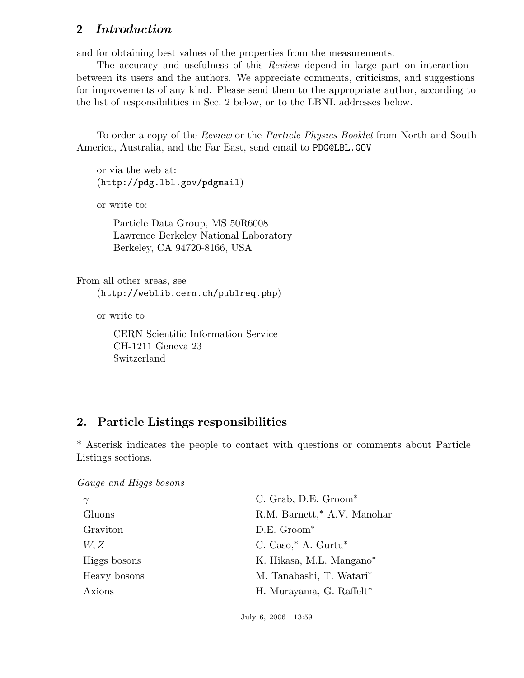and for obtaining best values of the properties from the measurements.

The accuracy and usefulness of this *Review* depend in large part on interaction between its users and the authors. We appreciate comments, criticisms, and suggestions for improvements of any kind. Please send them to the appropriate author, according to the list of responsibilities in Sec. 2 below, or to the LBNL addresses below.

To order a copy of the *Review* or the *Particle Physics Booklet* from North and South America, Australia, and the Far East, send email to PDG@LBL.GOV

or via the web at: (http://pdg.lbl.gov/pdgmail)

or write to:

Particle Data Group, MS 50R6008 Lawrence Berkeley National Laboratory Berkeley, CA 94720-8166, USA

From all other areas, see (http://weblib.cern.ch/publreq.php)

or write to

CERN Scientific Information Service CH-1211 Geneva 23 Switzerland

# **2. Particle Listings responsibilities**

\* Asterisk indicates the people to contact with questions or comments about Particle Listings sections.

| Gauge and Higgs bosons |                                        |
|------------------------|----------------------------------------|
|                        | $C.$ Grab, D.E. Groom*                 |
| Gluons                 | R.M. Barnett,* A.V. Manohar            |
| Graviton               | $D.E. Groom*$                          |
| W, Z                   | C. $\text{Caso}^*$ A. $\text{Gurtu}^*$ |
| Higgs bosons           | K. Hikasa, M.L. Mangano*               |
| Heavy bosons           | M. Tanabashi, T. Watari*               |
| Axions                 | H. Murayama, G. Raffelt*               |
|                        |                                        |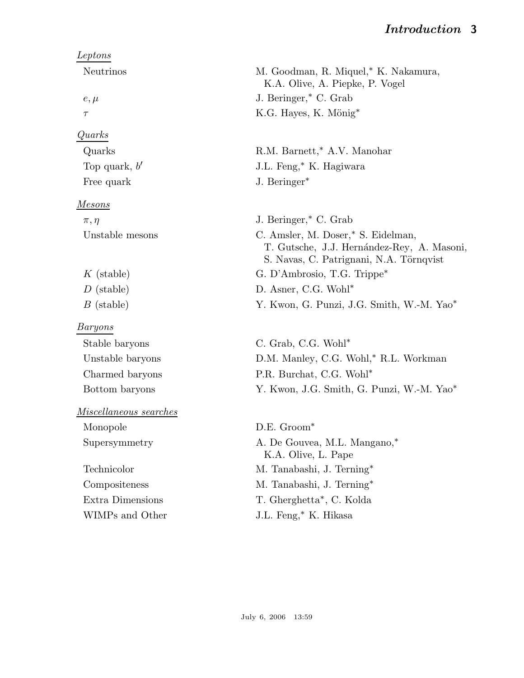*Leptons*

## *Quarks*

Top quark,  $b'$ Free quark J. Beringer<sup>∗</sup>

## *Mesons*

# *Baryons*

### *Miscellaneous searches*

Monopole D.E. Groom∗

Neutrinos M. Goodman, R. Miquel,∗ K. Nakamura, K.A. Olive, A. Piepke, P. Vogel e,  $\mu$  J. Beringer,\* C. Grab  $\tau$  K.G. Hayes, K. Mönig<sup>\*</sup>

Quarks R.M. Barnett,∗ A.V. Manohar J.L. Feng,∗ K. Hagiwara

 $\pi, \eta$  J. Beringer,\* C. Grab Unstable mesons C. Amsler, M. Doser,∗ S. Eidelman, T. Gutsche, J.J. Hernández-Rey, A. Masoni, S. Navas, C. Patrignani, N.A. Törnqvist K (stable) G. D'Ambrosio, T.G. Trippe<sup>\*</sup> D. Asner, C.G. Wohl<sup>∗</sup> B (stable) Y. Kwon, G. Punzi, J.G. Smith, W.-M. Yao<sup>∗</sup>

Stable baryons C. Grab, C.G. Wohl<sup>∗</sup> Unstable baryons D.M. Manley, C.G. Wohl,∗ R.L. Workman Charmed baryons P.R. Burchat, C.G. Wohl∗ Bottom baryons Y. Kwon, J.G. Smith, G. Punzi, W.-M. Yao<sup>\*</sup>

Supersymmetry A. De Gouvea, M.L. Mangano,<sup>∗</sup> K.A. Olive, L. Pape Technicolor M. Tanabashi, J. Terning<sup>∗</sup> Compositeness M. Tanabashi, J. Terning∗ Extra Dimensions T. Gherghetta∗, C. Kolda WIMPs and Other J.L. Feng,<sup>\*</sup> K. Hikasa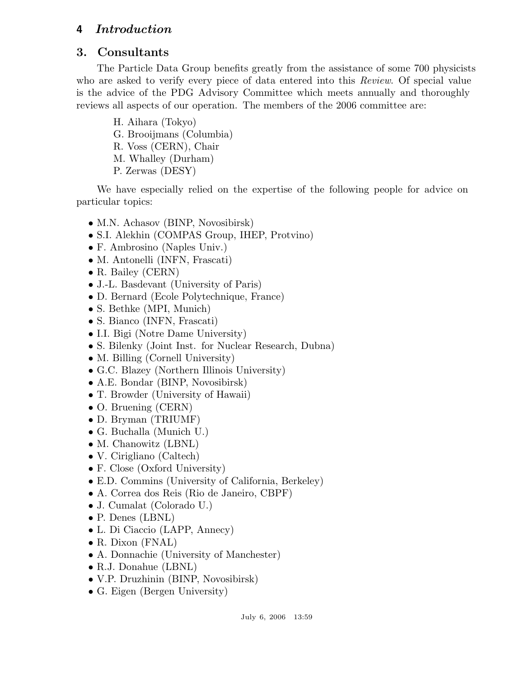# **3. Consultants**

The Particle Data Group benefits greatly from the assistance of some 700 physicists who are asked to verify every piece of data entered into this *Review*. Of special value is the advice of the PDG Advisory Committee which meets annually and thoroughly reviews all aspects of our operation. The members of the 2006 committee are:

H. Aihara (Tokyo) G. Brooijmans (Columbia) R. Voss (CERN), Chair M. Whalley (Durham) P. Zerwas (DESY)

We have especially relied on the expertise of the following people for advice on particular topics:

- M.N. Achasov (BINP, Novosibirsk)
- S.I. Alekhin (COMPAS Group, IHEP, Protvino)
- F. Ambrosino (Naples Univ.)
- M. Antonelli (INFN, Frascati)
- R. Bailey (CERN)
- J.-L. Basdevant (University of Paris)
- D. Bernard (Ecole Polytechnique, France)
- S. Bethke (MPI, Munich)
- S. Bianco (INFN, Frascati)
- I.I. Bigi (Notre Dame University)
- S. Bilenky (Joint Inst. for Nuclear Research, Dubna)
- M. Billing (Cornell University)
- G.C. Blazey (Northern Illinois University)
- A.E. Bondar (BINP, Novosibirsk)
- T. Browder (University of Hawaii)
- O. Bruening (CERN)
- D. Bryman (TRIUMF)
- G. Buchalla (Munich U.)
- M. Chanowitz (LBNL)
- V. Cirigliano (Caltech)
- F. Close (Oxford University)
- E.D. Commins (University of California, Berkeley)
- A. Correa dos Reis (Rio de Janeiro, CBPF)
- J. Cumalat (Colorado U.)
- P. Denes (LBNL)
- L. Di Ciaccio (LAPP, Annecy)
- R. Dixon (FNAL)
- A. Donnachie (University of Manchester)
- R.J. Donahue (LBNL)
- V.P. Druzhinin (BINP, Novosibirsk)
- G. Eigen (Bergen University)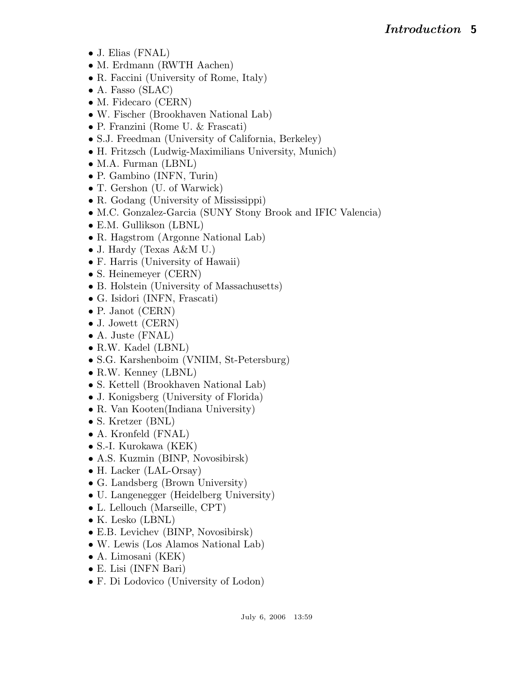- J. Elias (FNAL)
- M. Erdmann (RWTH Aachen)
- R. Faccini (University of Rome, Italy)
- A. Fasso (SLAC)
- M. Fidecaro (CERN)
- W. Fischer (Brookhaven National Lab)
- P. Franzini (Rome U. & Frascati)
- S.J. Freedman (University of California, Berkeley)
- H. Fritzsch (Ludwig-Maximilians University, Munich)
- M.A. Furman (LBNL)
- P. Gambino (INFN, Turin)
- T. Gershon (U. of Warwick)
- R. Godang (University of Mississippi)
- M.C. Gonzalez-Garcia (SUNY Stony Brook and IFIC Valencia)
- E.M. Gullikson (LBNL)
- R. Hagstrom (Argonne National Lab)
- J. Hardy (Texas A&M U.)
- F. Harris (University of Hawaii)
- S. Heinemeyer (CERN)
- B. Holstein (University of Massachusetts)
- G. Isidori (INFN, Frascati)
- P. Janot (CERN)
- J. Jowett (CERN)
- A. Juste (FNAL)
- R.W. Kadel (LBNL)
- S.G. Karshenboim (VNIIM, St-Petersburg)
- R.W. Kenney (LBNL)
- S. Kettell (Brookhaven National Lab)
- J. Konigsberg (University of Florida)
- R. Van Kooten(Indiana University)
- S. Kretzer (BNL)
- A. Kronfeld (FNAL)
- S.-I. Kurokawa (KEK)
- A.S. Kuzmin (BINP, Novosibirsk)
- H. Lacker (LAL-Orsay)
- G. Landsberg (Brown University)
- U. Langenegger (Heidelberg University)
- L. Lellouch (Marseille, CPT)
- K. Lesko (LBNL)
- E.B. Levichev (BINP, Novosibirsk)
- W. Lewis (Los Alamos National Lab)
- A. Limosani (KEK)
- E. Lisi (INFN Bari)
- F. Di Lodovico (University of Lodon)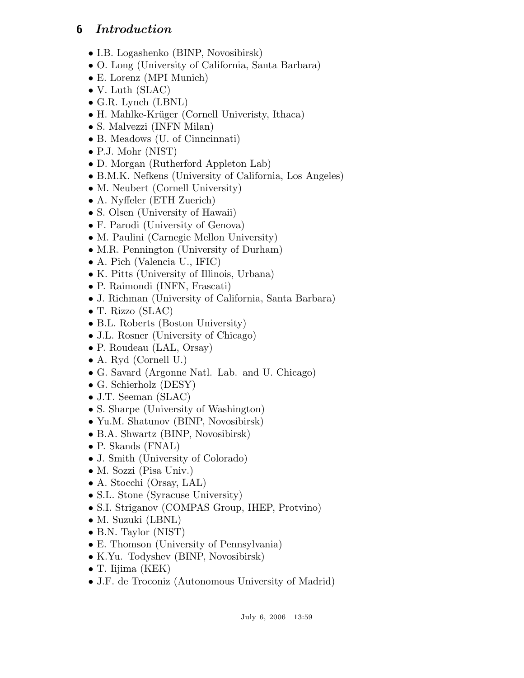- I.B. Logashenko (BINP, Novosibirsk)
- O. Long (University of California, Santa Barbara)
- E. Lorenz (MPI Munich)
- V. Luth (SLAC)
- G.R. Lynch (LBNL)
- H. Mahlke-Krüger (Cornell Univeristy, Ithaca)
- S. Malvezzi (INFN Milan)
- B. Meadows (U. of Cinncinnati)
- P.J. Mohr (NIST)
- D. Morgan (Rutherford Appleton Lab)
- B.M.K. Nefkens (University of California, Los Angeles)
- M. Neubert (Cornell University)
- A. Nyffeler (ETH Zuerich)
- S. Olsen (University of Hawaii)
- F. Parodi (University of Genova)
- M. Paulini (Carnegie Mellon University)
- M.R. Pennington (University of Durham)
- A. Pich (Valencia U., IFIC)
- K. Pitts (University of Illinois, Urbana)
- P. Raimondi (INFN, Frascati)
- J. Richman (University of California, Santa Barbara)
- T. Rizzo (SLAC)
- B.L. Roberts (Boston University)
- J.L. Rosner (University of Chicago)
- P. Roudeau (LAL, Orsay)
- A. Ryd (Cornell U.)
- G. Savard (Argonne Natl. Lab. and U. Chicago)
- G. Schierholz (DESY)
- J.T. Seeman (SLAC)
- S. Sharpe (University of Washington)
- Yu.M. Shatunov (BINP, Novosibirsk)
- B.A. Shwartz (BINP, Novosibirsk)
- P. Skands (FNAL)
- J. Smith (University of Colorado)
- M. Sozzi (Pisa Univ.)
- A. Stocchi (Orsay, LAL)
- S.L. Stone (Syracuse University)
- S.I. Striganov (COMPAS Group, IHEP, Protvino)
- M. Suzuki (LBNL)
- B.N. Taylor (NIST)
- E. Thomson (University of Pennsylvania)
- K.Yu. Todyshev (BINP, Novosibirsk)
- T. Iijima (KEK)
- J.F. de Troconiz (Autonomous University of Madrid)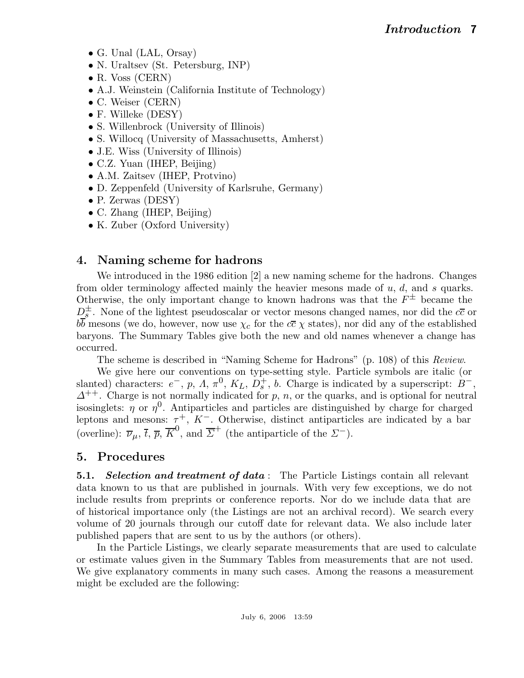- G. Unal (LAL, Orsay)
- N. Uraltsev (St. Petersburg, INP)
- R. Voss (CERN)
- A.J. Weinstein (California Institute of Technology)
- C. Weiser (CERN)
- F. Willeke (DESY)
- S. Willenbrock (University of Illinois)
- S. Willocq (University of Massachusetts, Amherst)
- J.E. Wiss (University of Illinois)
- C.Z. Yuan (IHEP, Beijing)
- A.M. Zaitsev (IHEP, Protvino)
- D. Zeppenfeld (University of Karlsruhe, Germany)
- P. Zerwas (DESY)
- C. Zhang (IHEP, Beijing)
- K. Zuber (Oxford University)

# **4. Naming scheme for hadrons**

We introduced in the 1986 edition [2] a new naming scheme for the hadrons. Changes from older terminology affected mainly the heavier mesons made of  $u, d$ , and  $s$  quarks. Otherwise, the only important change to known hadrons was that the  $F^{\pm}$  became the  $D_s^{\pm}$ . None of the lightest pseudoscalar or vector mesons changed names, nor did the  $c\bar{c}$  or bb mesons (we do, however, now use  $\chi_c$  for the  $c\bar{c} \chi$  states), nor did any of the established baryons. The Summary Tables give both the new and old names whenever a change has occurred.

The scheme is described in "Naming Scheme for Hadrons" (p. 108) of this *Review*.

We give here our conventions on type-setting style. Particle symbols are italic (or slanted) characters:  $e^-$ , p,  $\Lambda$ ,  $\pi^0$ ,  $K_L$ ,  $\overline{D_s^+}$ , b. Charge is indicated by a superscript:  $\overline{B}^-$ ,  $\Delta^{++}$ . Charge is not normally indicated for p, n, or the quarks, and is optional for neutral isosinglets:  $\eta$  or  $\eta^0$ . Antiparticles and particles are distinguished by charge for charged leptons and mesons:  $\tau^+$ , K<sup>-</sup>. Otherwise, distinct antiparticles are indicated by a bar (overline):  $\overline{\nu}_{\mu}$ ,  $\overline{t}$ ,  $\overline{p}$ ,  $\overline{K}^{0}$ , and  $\overline{\Sigma}^{+}$  (the antiparticle of the  $\Sigma^{-}$ ).

# **5. Procedures**

**5.1.** *Selection and treatment of data* : The Particle Listings contain all relevant data known to us that are published in journals. With very few exceptions, we do not include results from preprints or conference reports. Nor do we include data that are of historical importance only (the Listings are not an archival record). We search every volume of 20 journals through our cutoff date for relevant data. We also include later published papers that are sent to us by the authors (or others).

In the Particle Listings, we clearly separate measurements that are used to calculate or estimate values given in the Summary Tables from measurements that are not used. We give explanatory comments in many such cases. Among the reasons a measurement might be excluded are the following: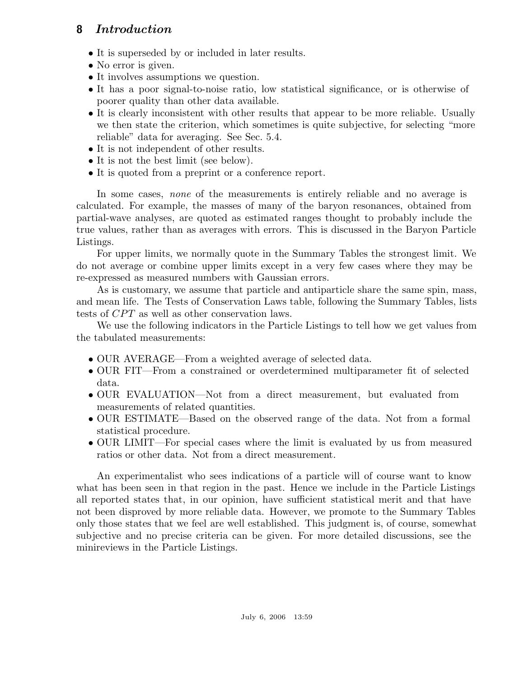- It is superseded by or included in later results.
- No error is given.
- It involves assumptions we question.
- It has a poor signal-to-noise ratio, low statistical significance, or is otherwise of poorer quality than other data available.
- It is clearly inconsistent with other results that appear to be more reliable. Usually we then state the criterion, which sometimes is quite subjective, for selecting "more reliable" data for averaging. See Sec. 5.4.
- It is not independent of other results.
- It is not the best limit (see below).
- It is quoted from a preprint or a conference report.

In some cases, *none* of the measurements is entirely reliable and no average is calculated. For example, the masses of many of the baryon resonances, obtained from partial-wave analyses, are quoted as estimated ranges thought to probably include the true values, rather than as averages with errors. This is discussed in the Baryon Particle Listings.

For upper limits, we normally quote in the Summary Tables the strongest limit. We do not average or combine upper limits except in a very few cases where they may be re-expressed as measured numbers with Gaussian errors.

As is customary, we assume that particle and antiparticle share the same spin, mass, and mean life. The Tests of Conservation Laws table, following the Summary Tables, lists tests of CPT as well as other conservation laws.

We use the following indicators in the Particle Listings to tell how we get values from the tabulated measurements:

- OUR AVERAGE—From a weighted average of selected data.
- OUR FIT—From a constrained or overdetermined multiparameter fit of selected data.
- OUR EVALUATION—Not from a direct measurement, but evaluated from measurements of related quantities.
- OUR ESTIMATE—Based on the observed range of the data. Not from a formal statistical procedure.
- OUR LIMIT—For special cases where the limit is evaluated by us from measured ratios or other data. Not from a direct measurement.

An experimentalist who sees indications of a particle will of course want to know what has been seen in that region in the past. Hence we include in the Particle Listings all reported states that, in our opinion, have sufficient statistical merit and that have not been disproved by more reliable data. However, we promote to the Summary Tables only those states that we feel are well established. This judgment is, of course, somewhat subjective and no precise criteria can be given. For more detailed discussions, see the minireviews in the Particle Listings.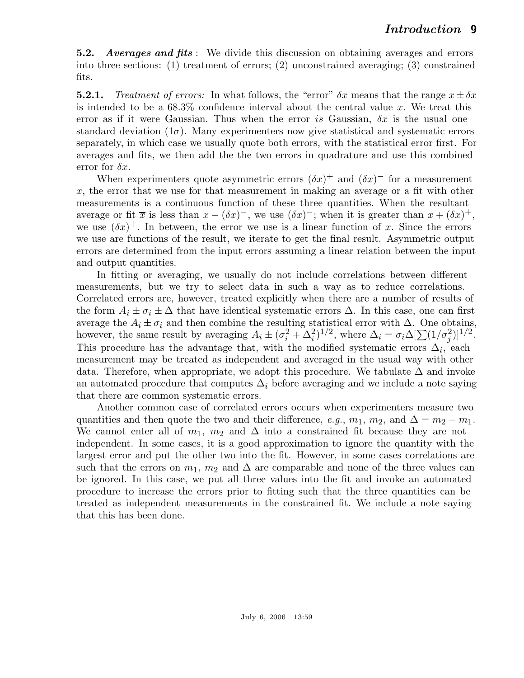**5.2.** *Averages and fits* : We divide this discussion on obtaining averages and errors into three sections: (1) treatment of errors; (2) unconstrained averaging; (3) constrained fits.

**5.2.1.** *Treatment of errors:* In what follows, the "error"  $\delta x$  means that the range  $x \pm \delta x$ is intended to be a  $68.3\%$  confidence interval about the central value x. We treat this error as if it were Gaussian. Thus when the error is Gaussian,  $\delta x$  is the usual one standard deviation  $(1\sigma)$ . Many experimenters now give statistical and systematic errors separately, in which case we usually quote both errors, with the statistical error first. For averages and fits, we then add the the two errors in quadrature and use this combined error for  $\delta x$ .

When experimenters quote asymmetric errors  $(\delta x)^+$  and  $(\delta x)^-$  for a measurement  $x$ , the error that we use for that measurement in making an average or a fit with other measurements is a continuous function of these three quantities. When the resultant average or fit  $\overline{x}$  is less than  $x - (\delta x)^{-}$ , we use  $(\delta x)^{-}$ ; when it is greater than  $x + (\delta x)^{+}$ , we use  $(\delta x)^{+}$ . In between, the error we use is a linear function of x. Since the errors we use are functions of the result, we iterate to get the final result. Asymmetric output errors are determined from the input errors assuming a linear relation between the input and output quantities.

In fitting or averaging, we usually do not include correlations between different measurements, but we try to select data in such a way as to reduce correlations. Correlated errors are, however, treated explicitly when there are a number of results of the form  $A_i \pm \sigma_i \pm \Delta$  that have identical systematic errors  $\Delta$ . In this case, one can first average the  $A_i \pm \sigma_i$  and then combine the resulting statistical error with  $\Delta$ . One obtains, however, the same result by averaging  $A_i \pm (\sigma_i^2 + \Delta_i^2)^{1/2}$ , where  $\Delta_i = \sigma_i \Delta [\sum (1/\sigma_j^2)]^{1/2}$ . This procedure has the advantage that, with the modified systematic errors  $\Delta_i$ , each measurement may be treated as independent and averaged in the usual way with other data. Therefore, when appropriate, we adopt this procedure. We tabulate  $\Delta$  and invoke an automated procedure that computes  $\Delta_i$  before averaging and we include a note saying that there are common systematic errors.

Another common case of correlated errors occurs when experimenters measure two quantities and then quote the two and their difference, *e.g.*,  $m_1$ ,  $m_2$ , and  $\Delta = m_2 - m_1$ . We cannot enter all of  $m_1$ ,  $m_2$  and  $\Delta$  into a constrained fit because they are not independent. In some cases, it is a good approximation to ignore the quantity with the largest error and put the other two into the fit. However, in some cases correlations are such that the errors on  $m_1$ ,  $m_2$  and  $\Delta$  are comparable and none of the three values can be ignored. In this case, we put all three values into the fit and invoke an automated procedure to increase the errors prior to fitting such that the three quantities can be treated as independent measurements in the constrained fit. We include a note saying that this has been done.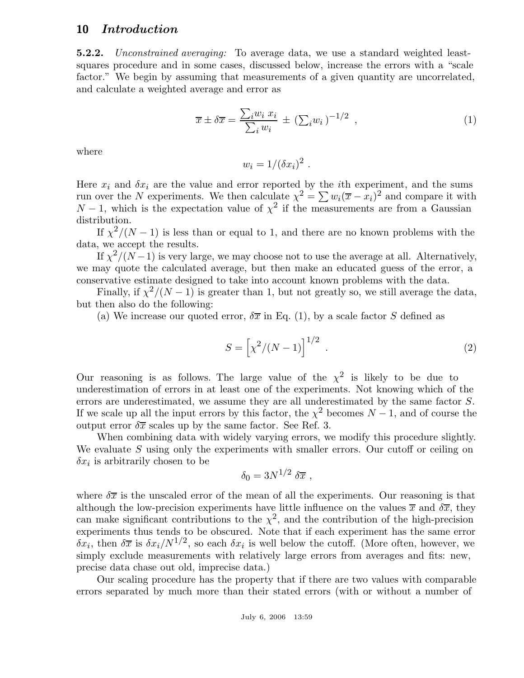**5.2.2.** *Unconstrained averaging:* To average data, we use a standard weighted leastsquares procedure and in some cases, discussed below, increase the errors with a "scale factor." We begin by assuming that measurements of a given quantity are uncorrelated, and calculate a weighted average and error as

$$
\overline{x} \pm \delta \overline{x} = \frac{\sum_i w_i x_i}{\sum_i w_i} \pm (\sum_i w_i)^{-1/2} , \qquad (1)
$$

where

$$
w_i = 1/(\delta x_i)^2.
$$

Here  $x_i$  and  $\delta x_i$  are the value and error reported by the *i*th experiment, and the sums run over the N experiments. We then calculate  $\chi^2 = \sum w_i(\overline{x} - x_i)^2$  and compare it with  $N-1$ , which is the expectation value of  $\chi^2$  if the measurements are from a Gaussian distribution.

If  $\chi^2/(N-1)$  is less than or equal to 1, and there are no known problems with the data, we accept the results.

If  $\chi^2/(N-1)$  is very large, we may choose not to use the average at all. Alternatively, we may quote the calculated average, but then make an educated guess of the error, a conservative estimate designed to take into account known problems with the data.

Finally, if  $\chi^2/(N-1)$  is greater than 1, but not greatly so, we still average the data, but then also do the following:

(a) We increase our quoted error,  $\delta \overline{x}$  in Eq. (1), by a scale factor S defined as

$$
S = \left[\chi^2/(N-1)\right]^{1/2} \tag{2}
$$

Our reasoning is as follows. The large value of the  $\chi^2$  is likely to be due to underestimation of errors in at least one of the experiments. Not knowing which of the errors are underestimated, we assume they are all underestimated by the same factor S. If we scale up all the input errors by this factor, the  $\chi^2$  becomes  $N-1$ , and of course the output error  $\delta \overline{x}$  scales up by the same factor. See Ref. 3.

When combining data with widely varying errors, we modify this procedure slightly. We evaluate  $S$  using only the experiments with smaller errors. Our cutoff or ceiling on  $\delta x_i$  is arbitrarily chosen to be

$$
\delta_0 = 3N^{1/2} \overline{\delta x} ,
$$

where  $\delta \overline{x}$  is the unscaled error of the mean of all the experiments. Our reasoning is that although the low-precision experiments have little influence on the values  $\bar{x}$  and  $\delta \bar{x}$ , they can make significant contributions to the  $\chi^2$ , and the contribution of the high-precision experiments thus tends to be obscured. Note that if each experiment has the same error  $\delta x_i$ , then  $\delta \overline{x}$  is  $\delta x_i/N^{1/2}$ , so each  $\delta x_i$  is well below the cutoff. (More often, however, we simply exclude measurements with relatively large errors from averages and fits: new, precise data chase out old, imprecise data.)

Our scaling procedure has the property that if there are two values with comparable errors separated by much more than their stated errors (with or without a number of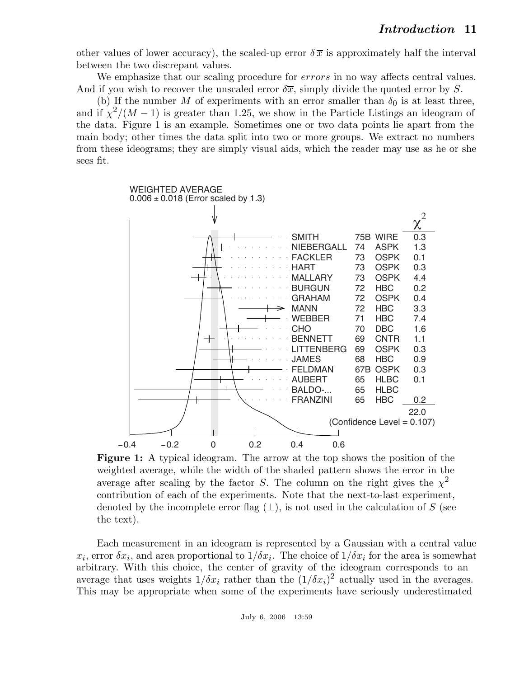other values of lower accuracy), the scaled-up error  $\delta \bar{x}$  is approximately half the interval between the two discrepant values.

We emphasize that our scaling procedure for *errors* in no way affects central values. And if you wish to recover the unscaled error  $\delta \overline{x}$ , simply divide the quoted error by S.

(b) If the number M of experiments with an error smaller than  $\delta_0$  is at least three, and if  $\chi^2/(M-1)$  is greater than 1.25, we show in the Particle Listings an ideogram of the data. Figure 1 is an example. Sometimes one or two data points lie apart from the main body; other times the data split into two or more groups. We extract no numbers from these ideograms; they are simply visual aids, which the reader may use as he or she sees fit.



**Figure 1:** A typical ideogram. The arrow at the top shows the position of the weighted average, while the width of the shaded pattern shows the error in the average after scaling by the factor S. The column on the right gives the  $\chi^2$ contribution of each of the experiments. Note that the next-to-last experiment, denoted by the incomplete error flag  $(\perp)$ , is not used in the calculation of S (see the text).

Each measurement in an ideogram is represented by a Gaussian with a central value  $x_i$ , error  $\delta x_i$ , and area proportional to  $1/\delta x_i$ . The choice of  $1/\delta x_i$  for the area is somewhat arbitrary. With this choice, the center of gravity of the ideogram corresponds to an average that uses weights  $1/\delta x_i$  rather than the  $(1/\delta x_i)^2$  actually used in the averages. This may be appropriate when some of the experiments have seriously underestimated

July 6, 2006 13:59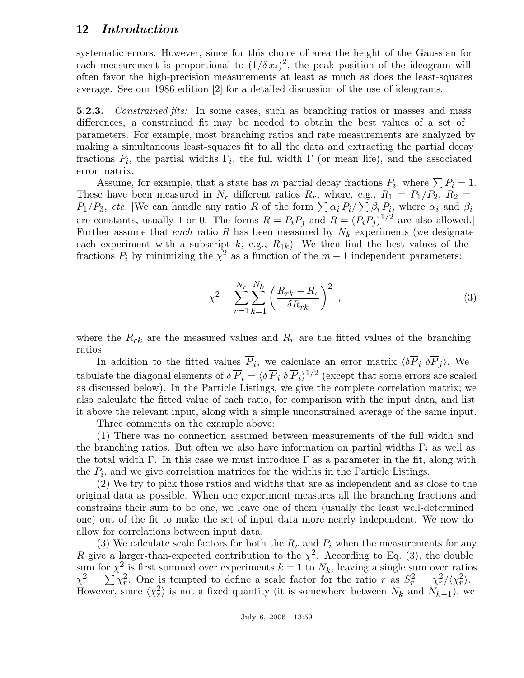systematic errors. However, since for this choice of area the height of the Gaussian for each measurement is proportional to  $(1/\delta x_i)^2$ , the peak position of the ideogram will often favor the high-precision measurements at least as much as does the least-squares average. See our 1986 edition [2] for a detailed discussion of the use of ideograms.

**5.2.3.** *Constrained fits:* In some cases, such as branching ratios or masses and mass differences, a constrained fit may be needed to obtain the best values of a set of parameters. For example, most branching ratios and rate measurements are analyzed by making a simultaneous least-squares fit to all the data and extracting the partial decay fractions  $P_i$ , the partial widths  $\Gamma_i$ , the full width  $\Gamma$  (or mean life), and the associated error matrix.

Assume, for example, that a state has m partial decay fractions  $P_i$ , where  $\sum P_i = 1$ . These have been measured in  $N_r$  different ratios  $R_r$ , where, e.g.,  $R_1 = P_1/P_2$ ,  $R_2 =$  $P_1/P_3$ , *etc.* [We can handle any ratio R of the form  $\sum \alpha_i P_i / \sum \beta_i P_i$ , where  $\alpha_i$  and  $\beta_i$ are constants, usually 1 or 0. The forms  $R = P_i P_j$  and  $R = (P_i P_j)^{1/2}$  are also allowed.] Further assume that each ratio R has been measured by  $N_k$  experiments (we designate each experiment with a subscript k, e.g.,  $R_{1k}$ ). We then find the best values of the fractions  $P_i$  by minimizing the  $\chi^2$  as a function of the  $m-1$  independent parameters:

$$
\chi^2 = \sum_{r=1}^{N_r} \sum_{k=1}^{N_k} \left( \frac{R_{rk} - R_r}{\delta R_{rk}} \right)^2 , \qquad (3)
$$

where the  $R_{rk}$  are the measured values and  $R_r$  are the fitted values of the branching ratios.

In addition to the fitted values  $\overline{P}_i$ , we calculate an error matrix  $\langle \delta \overline{P}_i \delta \overline{P}_j \rangle$ . We tabulate the diagonal elements of  $\delta \overline{P}_i = \langle \delta \overline{P}_i \delta \overline{P}_i \rangle^{1/2}$  (except that some errors are scaled as discussed below). In the Particle Listings, we give the complete correlation matrix; we also calculate the fitted value of each ratio, for comparison with the input data, and list it above the relevant input, along with a simple unconstrained average of the same input.

Three comments on the example above:

(1) There was no connection assumed between measurements of the full width and the branching ratios. But often we also have information on partial widths  $\Gamma_i$  as well as the total width Γ. In this case we must introduce  $\Gamma$  as a parameter in the fit, along with the  $P_i$ , and we give correlation matrices for the widths in the Particle Listings.

(2) We try to pick those ratios and widths that are as independent and as close to the original data as possible. When one experiment measures all the branching fractions and constrains their sum to be one, we leave one of them (usually the least well-determined one) out of the fit to make the set of input data more nearly independent. We now do allow for correlations between input data.

(3) We calculate scale factors for both the  $R_r$  and  $P_i$  when the measurements for any R give a larger-than-expected contribution to the  $\chi^2$ . According to Eq. (3), the double sum for  $\chi^2$  is first summed over experiments  $k = 1$  to  $N_k$ , leaving a single sum over ratios  $\chi^2 = \sum \chi^2_r$ . One is tempted to define a scale factor for the ratio r as  $S_r^2 = \chi^2_r / \langle \chi^2_r \rangle$ . However, since  $\langle \chi^2_r \rangle$  is not a fixed quantity (it is somewhere between  $N_k$  and  $N_{k-1}$ ), we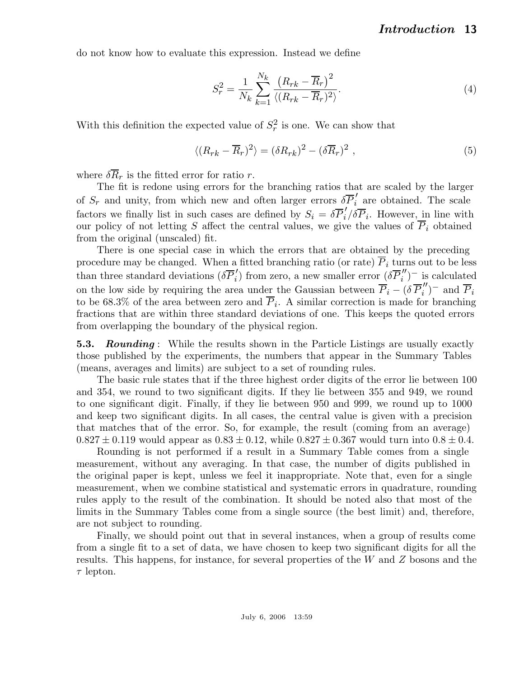do not know how to evaluate this expression. Instead we define

$$
S_r^2 = \frac{1}{N_k} \sum_{k=1}^{N_k} \frac{\left(R_{rk} - \overline{R}_r\right)^2}{\langle (R_{rk} - \overline{R}_r)^2 \rangle}.
$$
\n(4)

With this definition the expected value of  $S_r^2$  is one. We can show that

$$
\langle (R_{rk} - \overline{R}_r)^2 \rangle = (\delta R_{rk})^2 - (\delta \overline{R}_r)^2 , \qquad (5)
$$

where  $\delta \overline{R}_r$  is the fitted error for ratio r.

The fit is redone using errors for the branching ratios that are scaled by the larger of  $S_r$  and unity, from which new and often larger errors  $\delta \overline{P}'_i$  are obtained. The scale factors we finally list in such cases are defined by  $S_i = \delta \overline{P}'_i / \delta \overline{P}_i$ . However, in line with our policy of not letting S affect the central values, we give the values of  $\overline{P}_i$  obtained from the original (unscaled) fit.

There is one special case in which the errors that are obtained by the preceding procedure may be changed. When a fitted branching ratio (or rate)  $\overline{P}_i$  turns out to be less than three standard deviations  $(\delta \overline{P}'_i)$  from zero, a new smaller error  $(\delta \overline{P}''_i)^-$  is calculated on the low side by requiring the area under the Gaussian between  $\overline{P}_i - (\delta \overline{P}_i'')^-$  and  $\overline{P}_i$ to be 68.3% of the area between zero and  $\overline{P}_i$ . A similar correction is made for branching fractions that are within three standard deviations of one. This keeps the quoted errors from overlapping the boundary of the physical region.

**5.3.** *Rounding* : While the results shown in the Particle Listings are usually exactly those published by the experiments, the numbers that appear in the Summary Tables (means, averages and limits) are subject to a set of rounding rules.

The basic rule states that if the three highest order digits of the error lie between 100 and 354, we round to two significant digits. If they lie between 355 and 949, we round to one significant digit. Finally, if they lie between 950 and 999, we round up to 1000 and keep two significant digits. In all cases, the central value is given with a precision that matches that of the error. So, for example, the result (coming from an average)  $0.827 \pm 0.119$  would appear as  $0.83 \pm 0.12$ , while  $0.827 \pm 0.367$  would turn into  $0.8 \pm 0.4$ .

Rounding is not performed if a result in a Summary Table comes from a single measurement, without any averaging. In that case, the number of digits published in the original paper is kept, unless we feel it inappropriate. Note that, even for a single measurement, when we combine statistical and systematic errors in quadrature, rounding rules apply to the result of the combination. It should be noted also that most of the limits in the Summary Tables come from a single source (the best limit) and, therefore, are not subject to rounding.

Finally, we should point out that in several instances, when a group of results come from a single fit to a set of data, we have chosen to keep two significant digits for all the results. This happens, for instance, for several properties of the W and Z bosons and the  $\tau$  lepton.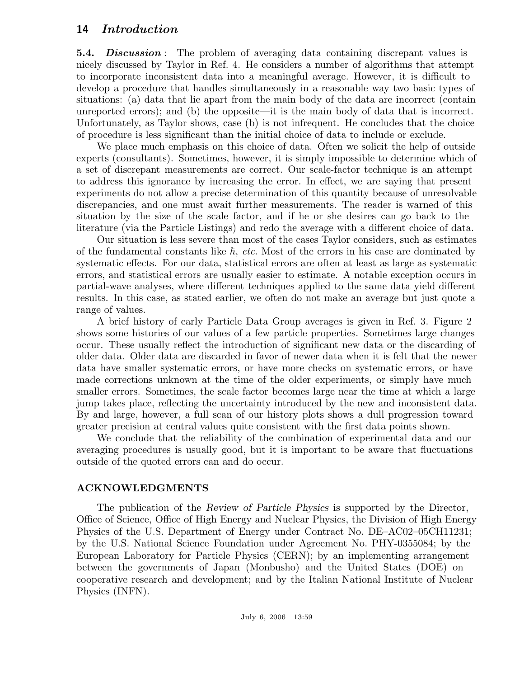**5.4.** *Discussion* : The problem of averaging data containing discrepant values is nicely discussed by Taylor in Ref. 4. He considers a number of algorithms that attempt to incorporate inconsistent data into a meaningful average. However, it is difficult to develop a procedure that handles simultaneously in a reasonable way two basic types of situations: (a) data that lie apart from the main body of the data are incorrect (contain unreported errors); and (b) the opposite—it is the main body of data that is incorrect. Unfortunately, as Taylor shows, case (b) is not infrequent. He concludes that the choice of procedure is less significant than the initial choice of data to include or exclude.

We place much emphasis on this choice of data. Often we solicit the help of outside experts (consultants). Sometimes, however, it is simply impossible to determine which of a set of discrepant measurements are correct. Our scale-factor technique is an attempt to address this ignorance by increasing the error. In effect, we are saying that present experiments do not allow a precise determination of this quantity because of unresolvable discrepancies, and one must await further measurements. The reader is warned of this situation by the size of the scale factor, and if he or she desires can go back to the literature (via the Particle Listings) and redo the average with a different choice of data.

Our situation is less severe than most of the cases Taylor considers, such as estimates of the fundamental constants like  $\hbar$ , *etc.* Most of the errors in his case are dominated by systematic effects. For our data, statistical errors are often at least as large as systematic errors, and statistical errors are usually easier to estimate. A notable exception occurs in partial-wave analyses, where different techniques applied to the same data yield different results. In this case, as stated earlier, we often do not make an average but just quote a range of values.

A brief history of early Particle Data Group averages is given in Ref. 3. Figure 2 shows some histories of our values of a few particle properties. Sometimes large changes occur. These usually reflect the introduction of significant new data or the discarding of older data. Older data are discarded in favor of newer data when it is felt that the newer data have smaller systematic errors, or have more checks on systematic errors, or have made corrections unknown at the time of the older experiments, or simply have much smaller errors. Sometimes, the scale factor becomes large near the time at which a large jump takes place, reflecting the uncertainty introduced by the new and inconsistent data. By and large, however, a full scan of our history plots shows a dull progression toward greater precision at central values quite consistent with the first data points shown.

We conclude that the reliability of the combination of experimental data and our averaging procedures is usually good, but it is important to be aware that fluctuations outside of the quoted errors can and do occur.

# **ACKNOWLEDGMENTS**

The publication of the *Review of Particle Physics* is supported by the Director, Office of Science, Office of High Energy and Nuclear Physics, the Division of High Energy Physics of the U.S. Department of Energy under Contract No. DE–AC02–05CH11231; by the U.S. National Science Foundation under Agreement No. PHY-0355084; by the European Laboratory for Particle Physics (CERN); by an implementing arrangement between the governments of Japan (Monbusho) and the United States (DOE) on cooperative research and development; and by the Italian National Institute of Nuclear Physics (INFN).